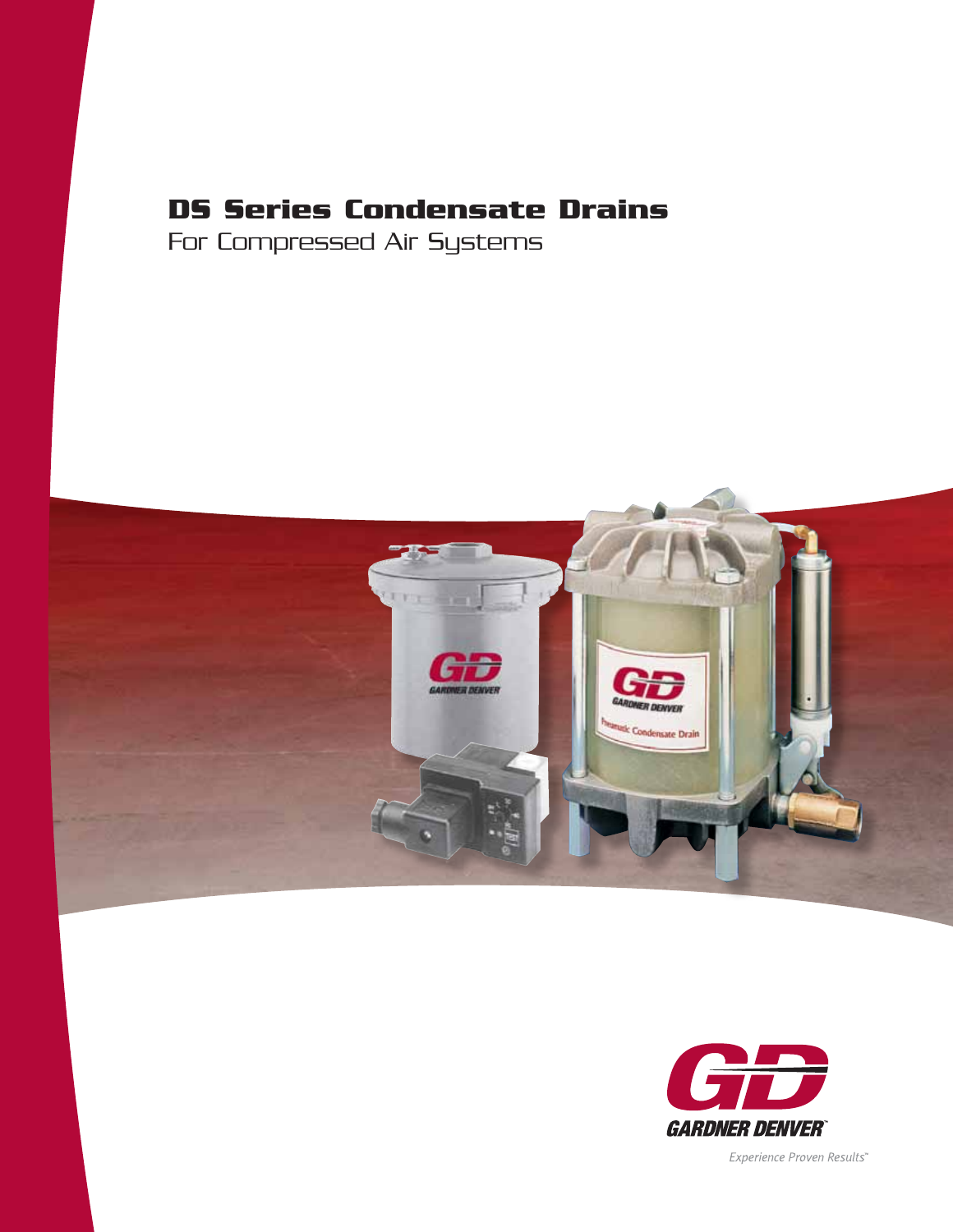# **DS Series Condensate Drains**

For Compressed Air Systems





Experience Proven Results"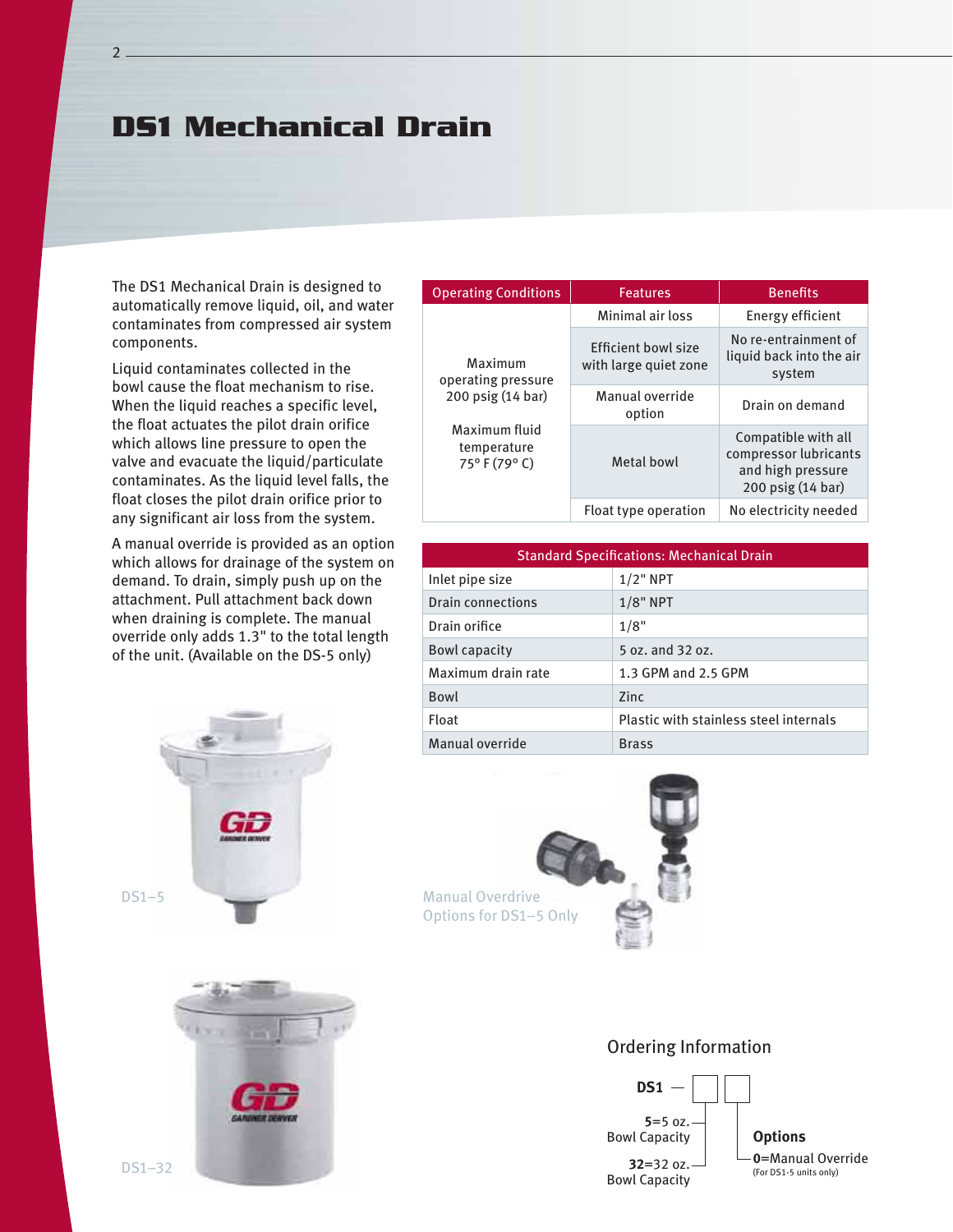### **DS1 Mechanical Drain**

The DS1 Mechanical Drain is designed to automatically remove liquid, oil, and water contaminates from compressed air system components.

Liquid contaminates collected in the bowl cause the float mechanism to rise. When the liquid reaches a specific level, the float actuates the pilot drain orifice which allows line pressure to open the valve and evacuate the liquid/particulate contaminates. As the liquid level falls, the float closes the pilot drain orifice prior to any significant air loss from the system.

A manual override is provided as an option which allows for drainage of the system on demand. To drain, simply push up on the attachment. Pull attachment back down when draining is complete. The manual override only adds 1.3" to the total length of the unit. (Available on the DS-5 only)





| <b>Operating Conditions</b>                                                                       | <b>Features</b>                              | <b>Benefits</b>                                                                        |
|---------------------------------------------------------------------------------------------------|----------------------------------------------|----------------------------------------------------------------------------------------|
| Maximum<br>operating pressure<br>200 psig (14 bar)<br>Maximum fluid<br>temperature<br>75°F (79°C) | Minimal air loss                             | Energy efficient                                                                       |
|                                                                                                   | Efficient bowl size<br>with large quiet zone | No re-entrainment of<br>liquid back into the air<br>system                             |
|                                                                                                   | Manual override<br>option                    | Drain on demand                                                                        |
|                                                                                                   | Metal bowl                                   | Compatible with all<br>compressor lubricants<br>and high pressure<br>200 psig (14 bar) |
|                                                                                                   | Float type operation                         | No electricity needed                                                                  |

| <b>Standard Specifications: Mechanical Drain</b> |                                        |  |
|--------------------------------------------------|----------------------------------------|--|
| Inlet pipe size                                  | $1/2$ " NPT                            |  |
| Drain connections                                | $1/8$ " NPT                            |  |
| Drain orifice                                    | 1/8"                                   |  |
| Bowl capacity                                    | 5 oz. and 32 oz.                       |  |
| Maximum drain rate                               | 1.3 GPM and 2.5 GPM                    |  |
| Bowl                                             | 7inc                                   |  |
| Float                                            | Plastic with stainless steel internals |  |
| Manual override                                  | <b>Brass</b>                           |  |



#### Ordering Information

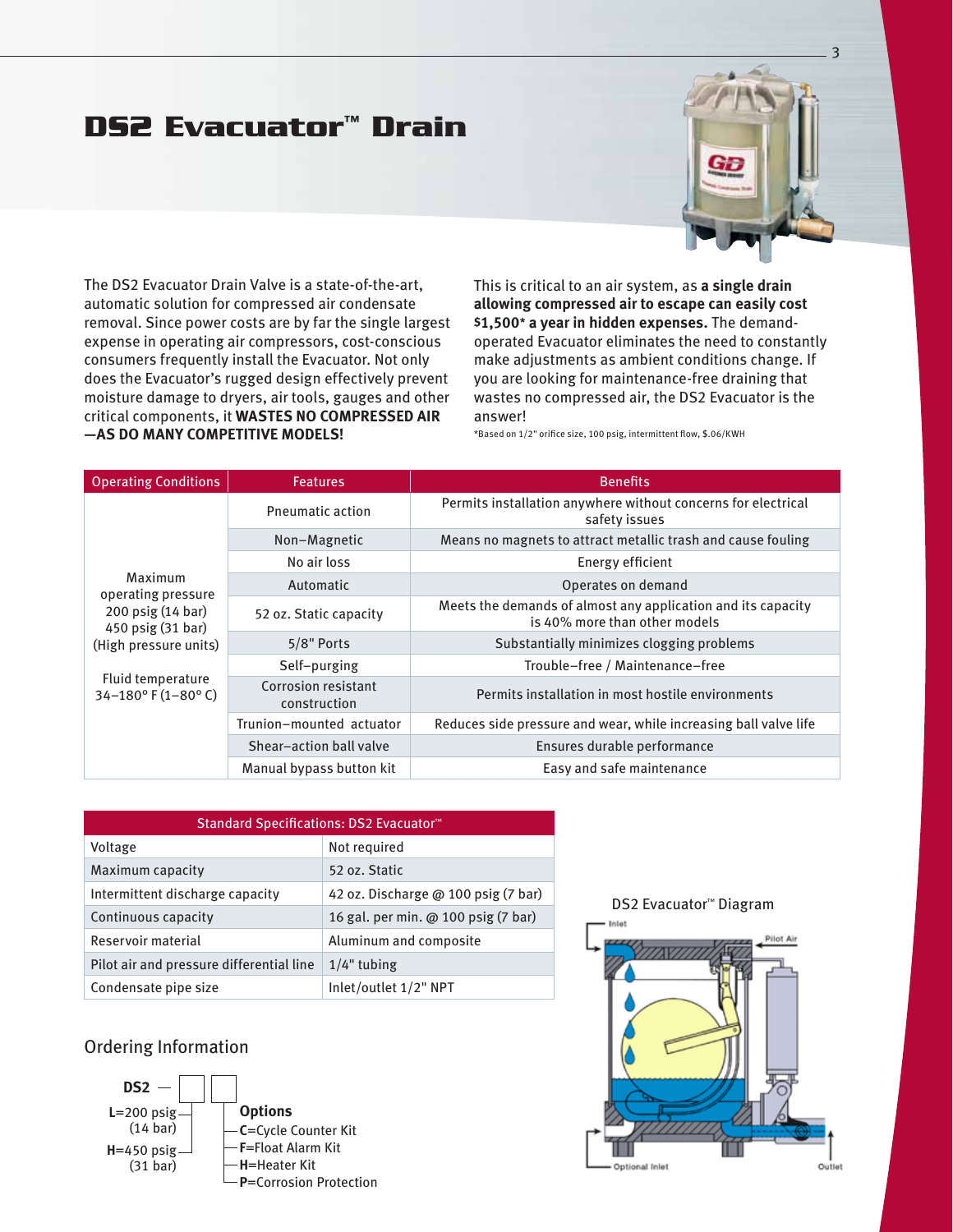# **DS2 Evacuator™ Drain**



The DS2 Evacuator Drain Valve is a state-of-the-art, automatic solution for compressed air condensate removal. Since power costs are by far the single largest expense in operating air compressors, cost-conscious consumers frequently install the Evacuator. Not only does the Evacuator's rugged design effectively prevent moisture damage to dryers, air tools, gauges and other critical components, it **wastes no compressed air —as do many competitive Models!**

This is critical to an air system, as **a single drain allowing compressed air to escape can easily cost \$1,500\* a year in hidden expenses.** The demandoperated Evacuator eliminates the need to constantly make adjustments as ambient conditions change. If you are looking for maintenance-free draining that wastes no compressed air, the DS2 Evacuator is the answer!

\*Based on 1/2" orifice size, 100 psig, intermittent flow, \$.06/KWH

| <b>Operating Conditions</b>                                                                                                                                    | <b>Features</b>                     | <b>Benefits</b>                                                                               |
|----------------------------------------------------------------------------------------------------------------------------------------------------------------|-------------------------------------|-----------------------------------------------------------------------------------------------|
|                                                                                                                                                                | <b>Pneumatic action</b>             | Permits installation anywhere without concerns for electrical<br>safety issues                |
|                                                                                                                                                                | Non-Magnetic                        | Means no magnets to attract metallic trash and cause fouling                                  |
| Maximum<br>operating pressure<br>200 psig (14 bar)<br>450 psig (31 bar)<br>(High pressure units)<br>Fluid temperature<br>34-180 $\degree$ F (1-80 $\degree$ C) | No air loss                         | Energy efficient                                                                              |
|                                                                                                                                                                | Automatic                           | Operates on demand                                                                            |
|                                                                                                                                                                | 52 oz. Static capacity              | Meets the demands of almost any application and its capacity<br>is 40% more than other models |
|                                                                                                                                                                | 5/8" Ports                          | Substantially minimizes clogging problems                                                     |
|                                                                                                                                                                | Self-purging                        | Trouble-free / Maintenance-free                                                               |
|                                                                                                                                                                | Corrosion resistant<br>construction | Permits installation in most hostile environments                                             |
|                                                                                                                                                                | Trunion-mounted actuator            | Reduces side pressure and wear, while increasing ball valve life                              |
|                                                                                                                                                                | Shear-action ball valve             | Ensures durable performance                                                                   |
|                                                                                                                                                                | Manual bypass button kit            | Easy and safe maintenance                                                                     |

| Standard Specifications: DS2 Evacuator <sup>™</sup> |                                     |  |  |
|-----------------------------------------------------|-------------------------------------|--|--|
| Voltage                                             | Not required                        |  |  |
| Maximum capacity                                    | 52 oz. Static                       |  |  |
| Intermittent discharge capacity                     | 42 oz. Discharge @ 100 psig (7 bar) |  |  |
| Continuous capacity                                 | 16 gal. per min. @ 100 psig (7 bar) |  |  |
| Reservoir material                                  | Aluminum and composite              |  |  |
| Pilot air and pressure differential line            | $1/4$ " tubing                      |  |  |
| Condensate pipe size                                | Inlet/outlet 1/2" NPT               |  |  |

#### Ordering Information



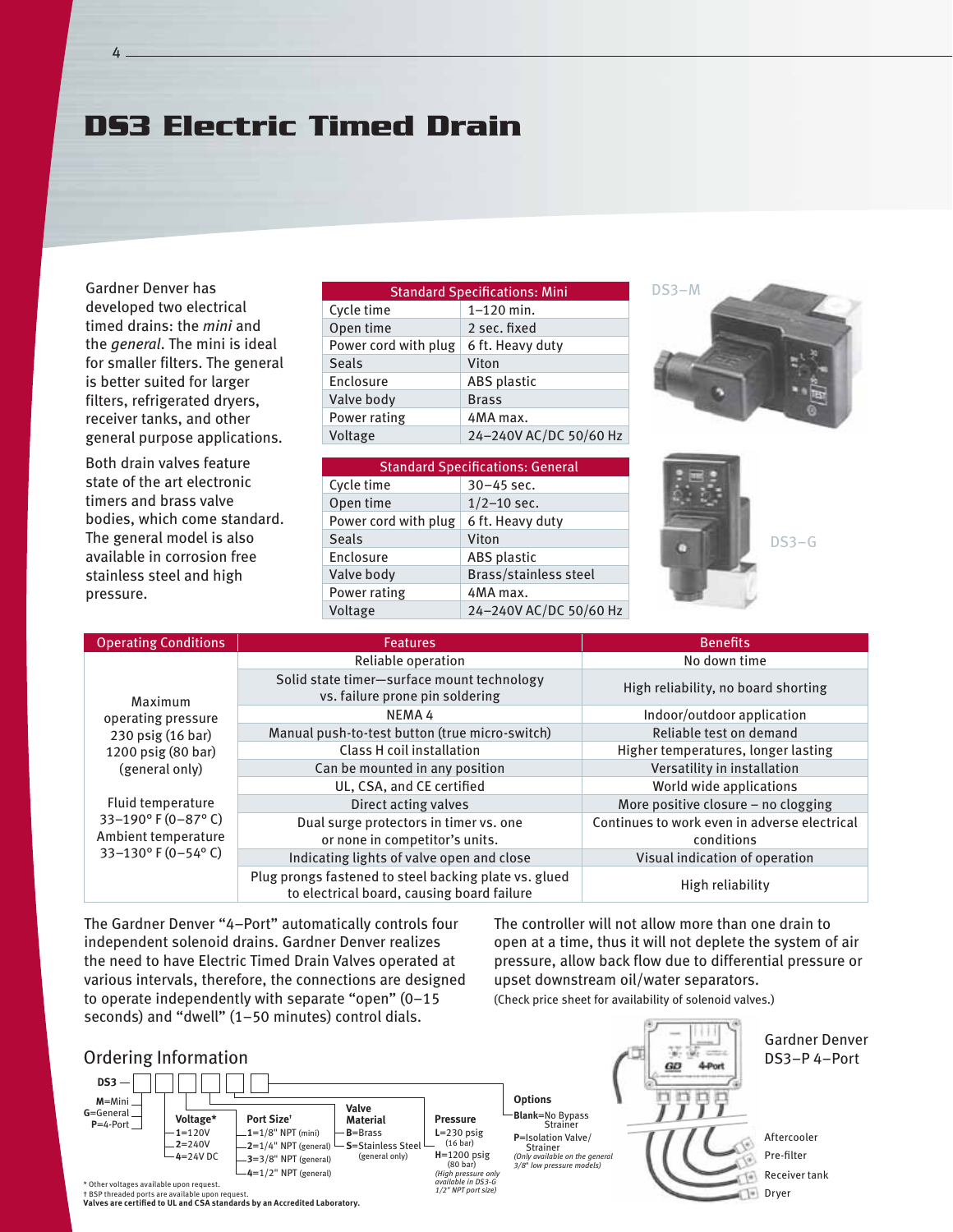# **DS3 Electric Timed Drain**

Gardner Denver has developed two electrical timed drains: the *mini* and the *general*. The mini is ideal for smaller filters. The general is better suited for larger filters, refrigerated dryers, receiver tanks, and other general purpose applications.

Both drain valves feature state of the art electronic timers and brass valve bodies, which come standard. The general model is also available in corrosion free stainless steel and high pressure.

| <b>Standard Specifications: Mini</b> |                        |  |  |
|--------------------------------------|------------------------|--|--|
| Cycle time                           | $1 - 120$ min.         |  |  |
| Open time                            | 2 sec. fixed           |  |  |
| Power cord with plug                 | 6 ft. Heavy duty       |  |  |
| <b>Seals</b>                         | Viton                  |  |  |
| Enclosure                            | <b>ABS</b> plastic     |  |  |
| Valve body                           | <b>Brass</b>           |  |  |
| Power rating                         | 4MA max.               |  |  |
| Voltage                              | 24-240V AC/DC 50/60 Hz |  |  |
|                                      |                        |  |  |

| <b>Standard Specifications: General</b> |                        |  |  |
|-----------------------------------------|------------------------|--|--|
| Cycle time                              | $30 - 45$ sec.         |  |  |
| Open time                               | $1/2 - 10$ sec.        |  |  |
| Power cord with plug                    | 6 ft. Heavy duty       |  |  |
| <b>Seals</b>                            | Viton                  |  |  |
| Enclosure                               | <b>ABS</b> plastic     |  |  |
| Valve body                              | Brass/stainless steel  |  |  |
| Power rating                            | 4MA max.               |  |  |
| Voltage                                 | 24-240V AC/DC 50/60 Hz |  |  |

DS3–M



| <b>Operating Conditions</b>                                                                                                  | <b>Features</b>                                                                                     | <b>Benefits</b>                                            |
|------------------------------------------------------------------------------------------------------------------------------|-----------------------------------------------------------------------------------------------------|------------------------------------------------------------|
| Maximum                                                                                                                      | Reliable operation                                                                                  | No down time                                               |
|                                                                                                                              | Solid state timer-surface mount technology<br>vs. failure prone pin soldering                       | High reliability, no board shorting                        |
| operating pressure                                                                                                           | NEMA4                                                                                               | Indoor/outdoor application                                 |
| 230 psig (16 bar)                                                                                                            | Manual push-to-test button (true micro-switch)                                                      | Reliable test on demand                                    |
| 1200 psig (80 bar)<br>(general only)<br>Fluid temperature<br>33-190°F (0-87°C)<br>Ambient temperature<br>33-130° F (0-54° C) | Class H coil installation                                                                           | Higher temperatures, longer lasting                        |
|                                                                                                                              | Can be mounted in any position                                                                      | Versatility in installation                                |
|                                                                                                                              | UL, CSA, and CE certified                                                                           | World wide applications                                    |
|                                                                                                                              | Direct acting valves                                                                                | More positive closure - no clogging                        |
|                                                                                                                              | Dual surge protectors in timer vs. one<br>or none in competitor's units.                            | Continues to work even in adverse electrical<br>conditions |
|                                                                                                                              | Indicating lights of valve open and close                                                           | Visual indication of operation                             |
|                                                                                                                              | Plug prongs fastened to steel backing plate vs. glued<br>to electrical board, causing board failure | High reliability                                           |

The Gardner Denver "4–Port" automatically controls four independent solenoid drains. Gardner Denver realizes the need to have Electric Timed Drain Valves operated at various intervals, therefore, the connections are designed to operate independently with separate "open" (0–15 seconds) and "dwell" (1–50 minutes) control dials.

#### Ordering Information



The controller will not allow more than one drain to open at a time, thus it will not deplete the system of air pressure, allow back flow due to differential pressure or upset downstream oil/water separators.

(Check price sheet for availability of solenoid valves.)

Gardner Denver DS3–P 4–Port GĐ **Blank**=No Bypass Strainer **P**=Isolation Valve/ Aftercooler Strainer Pre-filter *(Only available on the general 3/8*" *low pressure models)* Receiver tank Dryer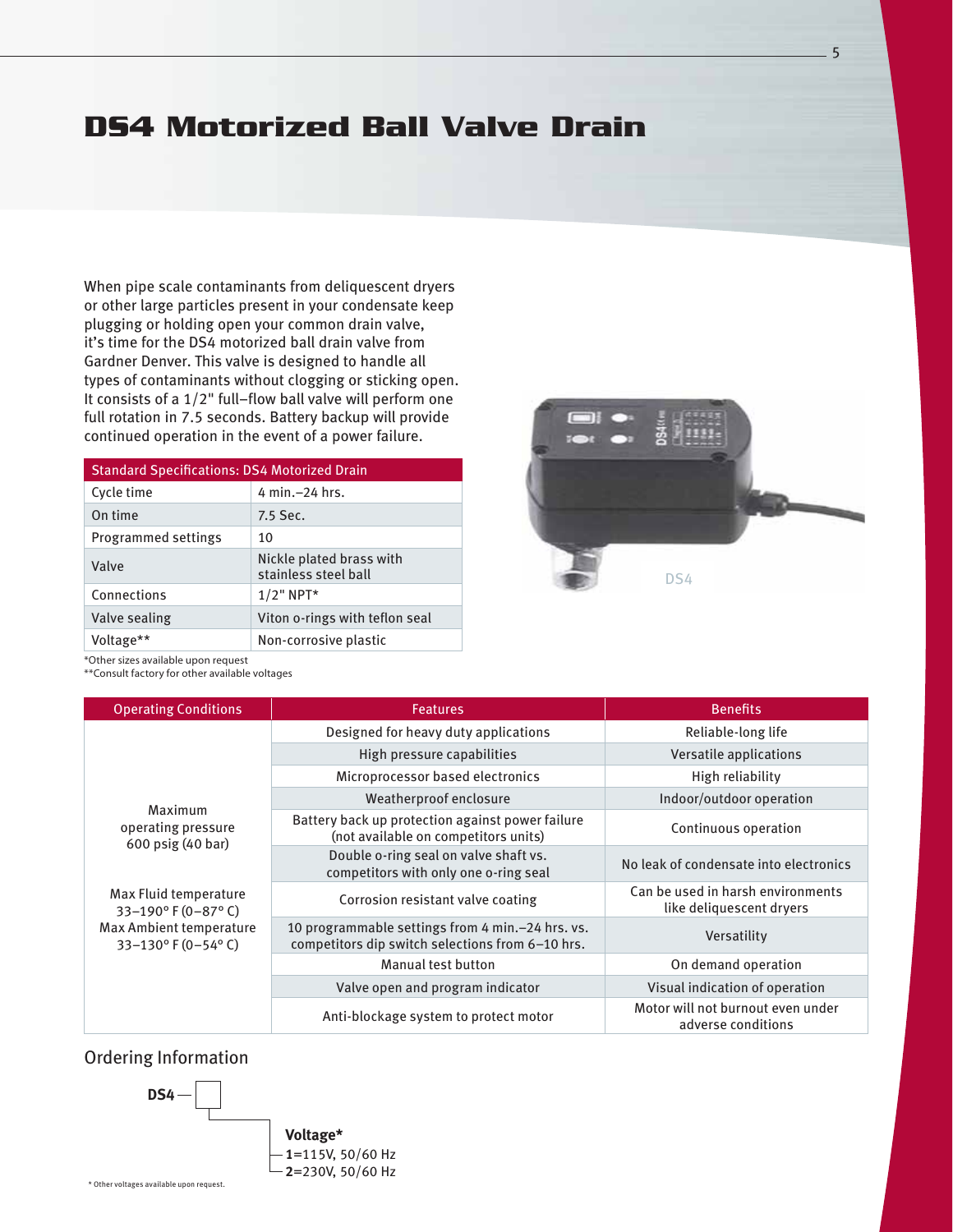## **DS4 Motorized Ball Valve Drain**

When pipe scale contaminants from deliquescent dryers or other large particles present in your condensate keep plugging or holding open your common drain valve, it's time for the DS4 motorized ball drain valve from Gardner Denver. This valve is designed to handle all types of contaminants without clogging or sticking open. It consists of a 1/2" full–flow ball valve will perform one full rotation in 7.5 seconds. Battery backup will provide continued operation in the event of a power failure.

| <b>Standard Specifications: DS4 Motorized Drain</b> |                                                  |  |  |
|-----------------------------------------------------|--------------------------------------------------|--|--|
| Cycle time                                          | 4 min. - 24 hrs.                                 |  |  |
| On time                                             | 7.5 Sec.                                         |  |  |
| Programmed settings                                 | 10                                               |  |  |
| Valve                                               | Nickle plated brass with<br>stainless steel ball |  |  |
| Connections                                         | $1/2$ " NPT*                                     |  |  |
| Valve sealing                                       | Viton o-rings with teflon seal                   |  |  |
| Voltage**                                           | Non-corrosive plastic                            |  |  |



\*Other sizes available upon request

\*\*Consult factory for other available voltages

| <b>Operating Conditions</b>                                                                                                                          | <b>Features</b>                                                                                        | <b>Benefits</b>                                               |
|------------------------------------------------------------------------------------------------------------------------------------------------------|--------------------------------------------------------------------------------------------------------|---------------------------------------------------------------|
|                                                                                                                                                      | Designed for heavy duty applications                                                                   | Reliable-long life                                            |
|                                                                                                                                                      | High pressure capabilities                                                                             | Versatile applications                                        |
|                                                                                                                                                      | Microprocessor based electronics                                                                       | High reliability                                              |
|                                                                                                                                                      | Weatherproof enclosure                                                                                 | Indoor/outdoor operation                                      |
| Maximum<br>operating pressure<br>600 psig (40 bar)<br>Max Fluid temperature<br>33-190° F (0-87° C)<br>Max Ambient temperature<br>33-130° F (0-54° C) | Battery back up protection against power failure<br>(not available on competitors units)               | Continuous operation                                          |
|                                                                                                                                                      | Double o-ring seal on valve shaft vs.<br>competitors with only one o-ring seal                         | No leak of condensate into electronics                        |
|                                                                                                                                                      | Corrosion resistant valve coating                                                                      | Can be used in harsh environments<br>like deliquescent dryers |
|                                                                                                                                                      | 10 programmable settings from 4 min. - 24 hrs. vs.<br>competitors dip switch selections from 6-10 hrs. | Versatility                                                   |
|                                                                                                                                                      | Manual test button                                                                                     | On demand operation                                           |
|                                                                                                                                                      | Valve open and program indicator                                                                       | Visual indication of operation                                |
|                                                                                                                                                      | Anti-blockage system to protect motor                                                                  | Motor will not burnout even under<br>adverse conditions       |

#### Ordering Information

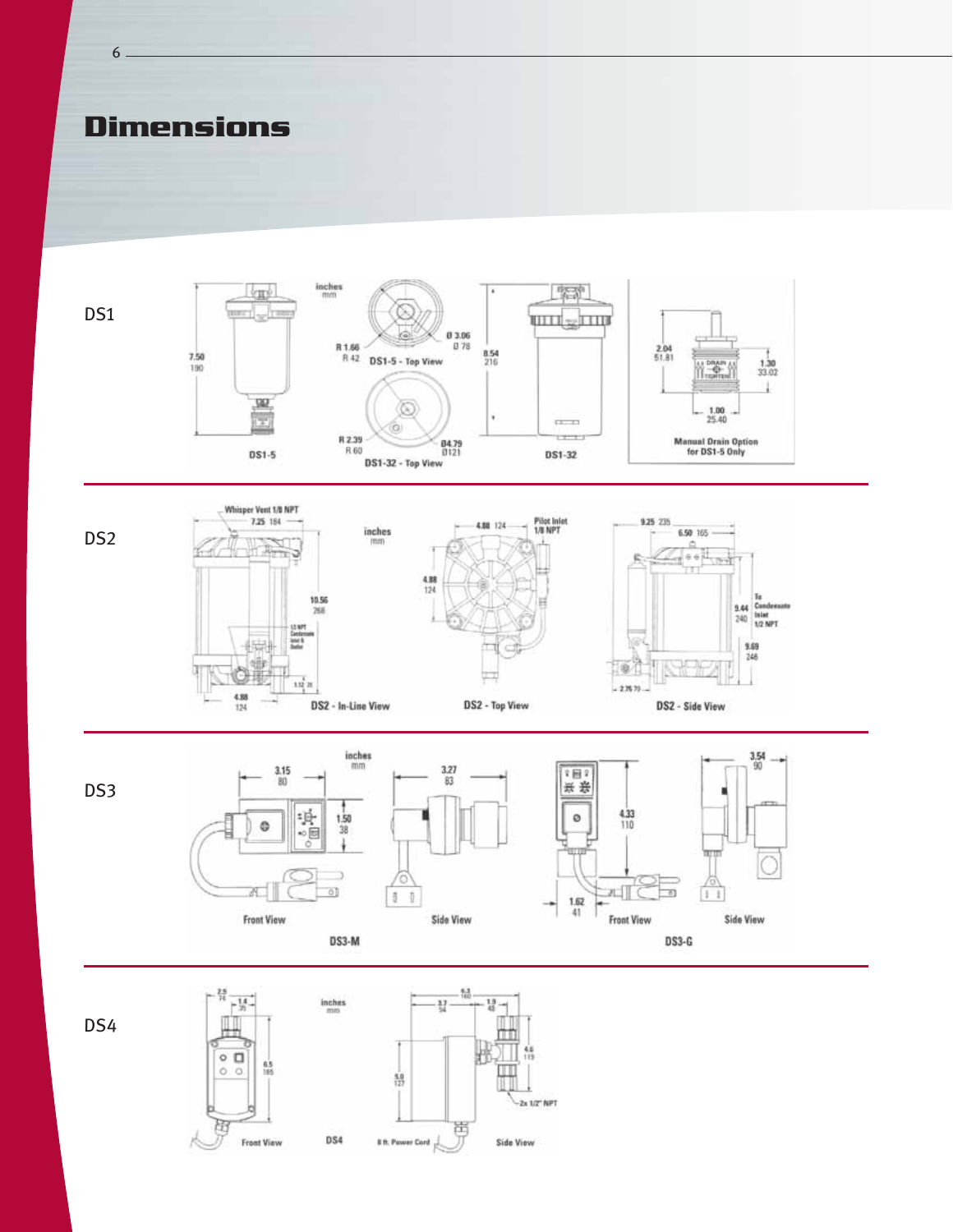

![](_page_5_Figure_2.jpeg)

 $DS3-G$ 

DS4

6

![](_page_5_Figure_6.jpeg)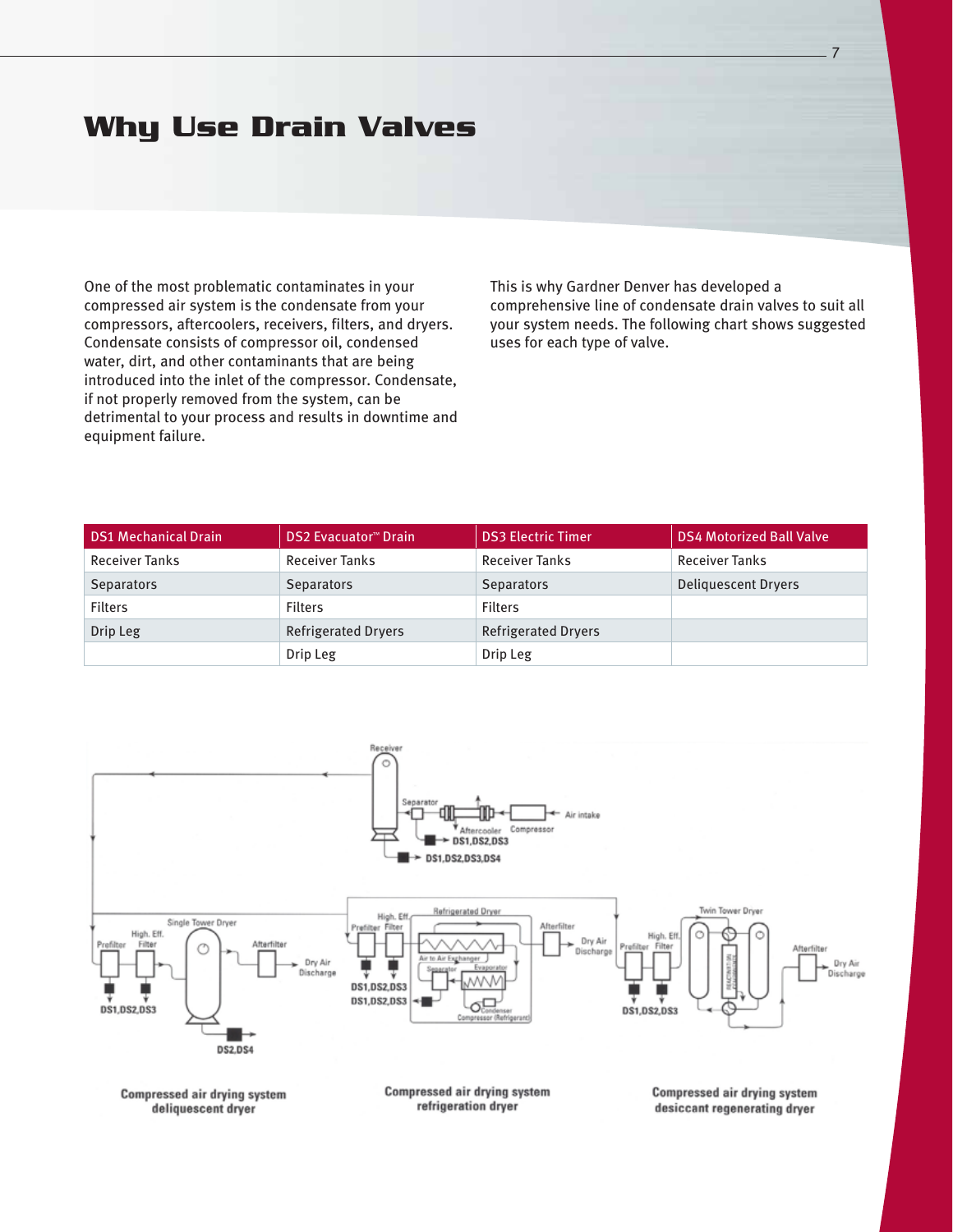### **Why Use Drain Valves**

One of the most problematic contaminates in your compressed air system is the condensate from your compressors, aftercoolers, receivers, filters, and dryers. Condensate consists of compressor oil, condensed water, dirt, and other contaminants that are being introduced into the inlet of the compressor. Condensate, if not properly removed from the system, can be detrimental to your process and results in downtime and equipment failure.

This is why Gardner Denver has developed a comprehensive line of condensate drain valves to suit all your system needs. The following chart shows suggested uses for each type of valve.

7

| <b>DS1 Mechanical Drain</b> | <b>DS2 Evacuator™ Drain</b> | <b>DS3 Electric Timer</b>  | <b>DS4 Motorized Ball Valve</b> |
|-----------------------------|-----------------------------|----------------------------|---------------------------------|
| <b>Receiver Tanks</b>       | <b>Receiver Tanks</b>       | <b>Receiver Tanks</b>      | <b>Receiver Tanks</b>           |
| <b>Separators</b>           | <b>Separators</b>           | <b>Separators</b>          | <b>Deliquescent Dryers</b>      |
| <b>Filters</b>              | <b>Filters</b>              | <b>Filters</b>             |                                 |
| Drip Leg                    | <b>Refrigerated Dryers</b>  | <b>Refrigerated Dryers</b> |                                 |
|                             | Drip Leg                    | Drip Leg                   |                                 |

![](_page_6_Figure_4.jpeg)